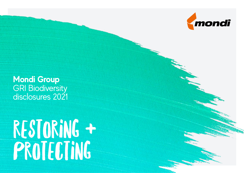

**Mondi Group GRI Biodiversity** disclosures 2021

# restoring + PROTECTING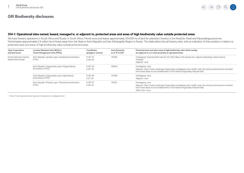

### **304-1: Operational sites owned, leased, managed in, or adjacent to, protected areas and areas of high biodiversity value outside protected areas**

We have forestry operations in South Africa and Russia. In South Africa, Mondi owns and leases approximately 254,000 ha of land for plantation forestry in the KwaZulu-Natal and Mpumalanga provinces. Mondi leases approximately 2.4 million ha of forest areas from the State in Komi Republic and the Arkhangelsk Region in Russia. The table below lists all forestry sites, with an indication of their position in relation to protected areas and areas of high biodiversity value outside protected areas.

| Type of operations<br>and land tenure             | Location [Business Units (BUs)] or<br><b>Forest Management Units (FMUs)</b> | Coordinates<br>(polygons' centres) | Area (hectares)<br>as of 31.12.2021 | Protected areas and other areas of high biodiversity value which overlap.<br>are adjacent to or in close proximity to operational sites                                                                                                             |  |  |
|---------------------------------------------------|-----------------------------------------------------------------------------|------------------------------------|-------------------------------------|-----------------------------------------------------------------------------------------------------------------------------------------------------------------------------------------------------------------------------------------------------|--|--|
| Mondi Syktyvkar Forestry<br>(leased forest areas) | Komi Republic, Sysolsky rayon, Sysolskoye lesnitchestvo<br>(FMU)            | N 60° 53'<br>E 49° 54'             | 176.529                             | Overlapping: Important Bird Area No. KO-003 Valley of the Sysola river; regional ichthyologic nature reserve<br>Vizingsky<br>Adjacent: none                                                                                                         |  |  |
|                                                   | Komi Republic, Koygorodsky rayon, Koygorodskoye<br>lesnitchestvo (FMU)      | N 60° 20'<br>E 50° 38'             | 328,623                             | Overlapping: none<br>Adjacent: Intact Forest Landscape Koigorodsky (overlapping with a buffer zone, the strictly protected parts excluded<br>from forest leases for the establishment of the Federal Koigorodsky National Park)                     |  |  |
|                                                   | Komi Republic, Koygorodsky rayon, Kazhimskoye<br>lesnitchestvo (FMU)        | N 60° 28'<br>E 51° 26'             | 170.499                             | Overlapping: none<br>Adjacent: none                                                                                                                                                                                                                 |  |  |
|                                                   | Komi Republic, Priluzsky rayon, Priluzskoye lesnitchestvo<br>(FMU)          | N 60° 07'<br>E 49° 47'             | 118,533                             | Overlapping: none<br>Adjacent: Intact Forest Landscape Koigorodsky (overlapping with a buffer zone, the strictly protected parts excluded<br>from forest leases for the establishment of the Federal Koigorodsky National Park)<br>Within 5km: none |  |  |

1 None of those operational sites imply use of subsurface or underground land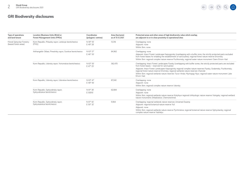$\leftarrow \rightarrow \begin{array}{ccc} \circ & \circ & \circ & \circ \end{array}$ 

| Type of operations<br>and land tenure             | Location [Business Units (BUs)] or<br><b>Forest Management Units (FMUs)</b> | Coordinates<br>(polygons' centres) | Area (hectares)<br>as of 31.12.2021 | Protected areas and other areas of high biodiversity value which overlap,<br>are adjacent to or in close proximity to operational sites                                                                                                                                                                                                                                                                                                                                                                         |
|---------------------------------------------------|-----------------------------------------------------------------------------|------------------------------------|-------------------------------------|-----------------------------------------------------------------------------------------------------------------------------------------------------------------------------------------------------------------------------------------------------------------------------------------------------------------------------------------------------------------------------------------------------------------------------------------------------------------------------------------------------------------|
| Mondi Syktyvkar Forestry<br>(leased forest areas) | Komi Republic, Priluzsky rayon, Letskoye lesnitchestvo<br>(FMU)             | N 59° 55'<br>E 49° 28'             | 13.316                              | Overlapping: none<br>Adjacent: none<br>Within 5km: none                                                                                                                                                                                                                                                                                                                                                                                                                                                         |
|                                                   | Arkhangelsk Oblast, Pinezhsky rayon, Surskoe lesnitchestvo                  | N 63° 27'<br>E 46° 50'             | 84.962                              | Overlapping: none<br>Adjacent: Intact Forest Landscape Karpogorsky (overlapping with a buffer zone, the strictly protected parts excluded<br>from forest leases for enabling the establishment of sanctuaries); regional forest nature reserve Ertomsky<br>Within 5km: regional complex nature reserve Puchkomsky; regional water nature monument Ozero Ertom-Vad                                                                                                                                               |
|                                                   | Komi Republic, Udorsky rayon, Yortomskoe lesnitchestvo                      | N 63° 50'<br>E 47° 25'             | 362.470                             | Overlapping: Intact Forest Landscapes Pyssky (overlapping with buffer zones, the strictly protected parts are excluded<br>from forest leases - reserved for sanctuaries)<br>Adjacent: Intact Forest Landscapes Karpogorsky regional complex nature reserves Pyssky, Sodzimsky, Puchkomsky;<br>regional forest nature reserve Ertomsky; regional wetlands nature reserves Charvidz<br>Within 5km: regional wetlands nature reserves Turun-Andzi, Mychayag-Nyur; regional water nature monument Lake<br>Ertom-Vad |
|                                                   | Komi Republic, Udorsky rayon, Udorskoe lesnitchestvo                        | N 63° 47'<br>E 48° 56'             | 87.042                              | Overlapping: none<br>Adjacent: none<br>Within 5km: regional complex nature reserve Udorsky                                                                                                                                                                                                                                                                                                                                                                                                                      |
|                                                   | Komi Republic, Syktyvdinsky rayon,<br>Syktyvdinskoe lesnitchestvo           | N 61° 38'<br>E 50010               | 62.884                              | Overlapping: none<br>Adjacent: none<br>Within 5km: regional wetlands nature reserve Kokylnyur regional ichthyologic nature reserve Vizingsky; regional wetland<br>nature monuments Shiladoskoe, Chernorechinsk                                                                                                                                                                                                                                                                                                  |
|                                                   | Komi Republic, Syktyvdinsky rayon,<br>Syktyvkarskoe lesnitchestvo           | N 61° 42'<br>E 50° 32'             | 9.064                               | Overlapping: regional wetlands nature reserves Unnamed Swamp<br>Adjacent: regional botanical nature reserve Yuil<br>Adjacent: none<br>Within 5km: regional wetlands nature reserve Pychimskoe, regional botanical nature reserve Syktyvkarsky; regional<br>complex nature reserve Vazhelyu                                                                                                                                                                                                                      |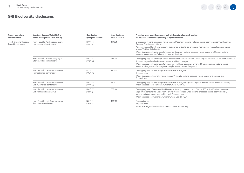

| <b>Type of operations</b><br>and land tenure      | <b>Location [Business Units (BUs)] or</b><br><b>Forest Management Units (FMUs)</b> | Coordinates<br>(polygons' centres) | Area (hectares)<br>as of 31.12.2021 | Protected areas and other areas of high biodiversity value which overlap.<br>are adjacent to or in close proximity to operational sites                                                                                                                                                                                                                                                                                                                                         |
|---------------------------------------------------|------------------------------------------------------------------------------------|------------------------------------|-------------------------------------|---------------------------------------------------------------------------------------------------------------------------------------------------------------------------------------------------------------------------------------------------------------------------------------------------------------------------------------------------------------------------------------------------------------------------------------------------------------------------------|
| Mondi Syktyvkar Forestry<br>(leased forest areas) | Komi Republic, Kortkerosskiy rayon,<br>Kortkerosskoe lesnitchestvo                 | N 61° 45'<br>E 51° 35'             | 119.691                             | Overlapping: regional landscape nature reserve Madzhsky; regional wetlands nature reserves Borgannyur, Kiyanyur,<br>Tashnyur, Shan'ganyur, Kirkanyur<br>Adjacent: regional forest nature reserve Watershed of Suska-Yel brook and Pyanko river; regional complex nature<br>reserve Verkhne-Lokchimsky<br>Within 5km: regional wetlands nature reserves Dodznyur; regional botanical nature monument Ozelsky; regional<br>wetlands nature reserves Selanyur, Lunvyvnyur, Pozhyan |
|                                                   | Komi Republic, Kortkerosskiy rayon,<br>Storozhevskoe lesnitchestvo                 | N 61° 55'<br>E 52° 45'             | 214.735                             | Overlapping: regional landscape nature reserves Verkhne-Lokchimsky, Lymva; regional wetlands nature reserve Bolshoe<br>Adjacent: regional wetlands nature reserve Novikkush, Urelnyur<br>Within 5km: regional wetlands nature reserves Nivshhera, Gabenyur, Unnamed Swamp; regional wetland nature<br>monument Borgan-Yel-Kush; regional complex nature reserve Beloyarsky                                                                                                      |
|                                                   | Komi Republic, Ust-Kulomsky rayon,<br>Pomozdinskoe lesnitchestvo                   | $62^{\circ}$ 6'<br>E 54° 23'       | 137,800                             | Overlapping: regional ichthyologic nature reserve Pozhegsky<br>Adjacent: none<br>Within 5km: regional complex nature reserve Vychegda; regional botanical nature monuments Voyvozhsky,<br>Pomozdinsky                                                                                                                                                                                                                                                                           |
|                                                   | Komi Republic, Ust-Kulomsky rayon,<br>Ust-Kulomskoe lesnitchestvo                  | N 61° 43'<br>E 53° 28'             | 68.372                              | Overlapping: regional ichthyologic nature reserve Pozhegsky Adjacent: regional wetland nature monument Sis-Nyur<br>Within 5km: regional botanical nature monument Kulom-Yu                                                                                                                                                                                                                                                                                                      |
|                                                   | Komi Republic, Ust-Kulomsky rayon,<br>Ust-Nemskoe lesnitchestvo                    | N 61° 27'<br>E 55° 8'              | 308,616                             | Overlapping: Intact forest area Ust-Nemsky (voluntarily protected, part of Global 200 No.PA0610 Ural mountains<br>taiga, which contains the Virgin Komi Forests World Heritage Site); regional landscape nature reserve Nemsky;<br>regional wetlands nature reserve Din-Kush Adjacent: none<br>Within 5km: regional wetland nature monument Sed-El-Nyur                                                                                                                         |
|                                                   | Komi Republic, Ust-Kulomsky rayon,<br>Pruptskoe lesnitchestvo                      | N 61° 4'<br>E 53° 55'              | 184.113                             | Overlapping: none<br>Adjacent: none<br>Within 5km: regional botanical nature monuments Voch-Volsky                                                                                                                                                                                                                                                                                                                                                                              |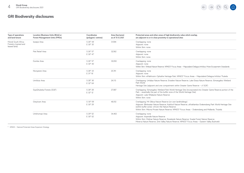

| Type of operations<br>and land tenure                     | Location [Business Units (BUs)] or<br><b>Forest Management Units (FMUs)</b> | Coordinates<br>(polygons' centres) | Area (hectares)<br>as of 31.12.2021 | Protected areas and other areas of high biodiversity value which overlap,<br>are adjacent to or in close proximity to operational sites                                                                                                                                                                                              |  |
|-----------------------------------------------------------|-----------------------------------------------------------------------------|------------------------------------|-------------------------------------|--------------------------------------------------------------------------------------------------------------------------------------------------------------------------------------------------------------------------------------------------------------------------------------------------------------------------------------|--|
| Mondi South Africa<br>Forestry (owned and<br>leased land) | Iswepe Area                                                                 | S 26° 44'<br>E 30° 35'             | 31.594                              | Overlapping: none<br>Adjacent: none<br>Within 5km: none                                                                                                                                                                                                                                                                              |  |
|                                                           | Piet Retief Area                                                            | S 26° 57'<br>E 30° 47'             | 32,562                              | Overlapping: none<br>Adjacent: none<br>Within 5km: none                                                                                                                                                                                                                                                                              |  |
|                                                           | Dumbe Area                                                                  | S 26° 57'<br>E 30° 45'             | 30.050                              | Overlapping: none<br>Adjacent: none<br>Within 5km: Witbad Nature Reserve; NPAES* Focus Areas - Maputaland Delagoa Imfolozi, Moist Escarpment Grasslands                                                                                                                                                                              |  |
|                                                           | Ntonjaneni Area                                                             | S 28° 33'<br>E 31° 16'             | 25.741                              | Overlapping: none<br>Adjacent: none<br>Within 5km: eMakhosini-Ophathe Heritage Park; NPAES* Focus Areas - Maputaland Delagoa Imfolozi Thukela                                                                                                                                                                                        |  |
|                                                           | Umfolozi Area                                                               | S 28° 36'<br>E 32° 04'             | 24.113                              | Overlapping: Umlalazi Nature Reserve; Enseleni Nature Reserve; Lake Eteza Nature Reserve; iSimangaliso Wetland<br>Park World<br>Heritage Site (adjacent and one compartment within Greater Game Reserve - cf SQF)                                                                                                                    |  |
|                                                           | SiyaQhubeka Forests (SQF)                                                   | S 28° 28'<br>E 32° 12'             | 27.087                              | Overlapping: iSimangaliso Wetland Park World Heritage Site (incorporated into Greater Game Reserve portion of the<br>Park - essentially the part of the buffer zone of the World Heritage Site)<br>Adjacent: Lake Nhlabane Nature Reserve<br>Within 5km: none                                                                        |  |
|                                                           | Greytown Area                                                               | S 30° 09'<br>E 30° 29'             | 48.512                              | Overlapping: Mt Gilboa Nature Reserve (on own landholdings)<br>Adjacent: Blinkwater Nature Reserve; Karkloof Nature Reserve; uKhahlamba-Drakensberg Park World Heritage Site<br>(within buffer zone); Umvoti Vlei Nature Reserve<br>Within 5km: Mbona Private Nature Reserve; NPAES* Focus Areas - Drakensberg and Midlands, Thukela |  |
|                                                           | Umkhomazi Area                                                              | S 29° 52'<br>E 30° 02'             | 34,463                              | Overlapping: none<br>Adjacent: Impendle Nature Reserve<br>Within 5km: Midmar Nature Reserve: Roselands Nature Reserve: Soada Forest Nature Reserve:<br>Minerva Nature Reserve; Zinti Valley Nature Reserve; NPAES* Focus Areas - Eastern Valley Bushveld                                                                             |  |

\* NPAES – National Protected Areas Expansion Strategy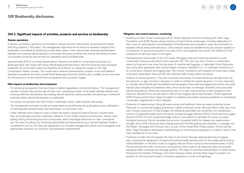## **304-2: Significant impacts of activities, products and services on biodiversity**

### **Russian operations**

In Russia, our forestry operations are located in natural and semi-natural slow-growing boreal forests with long rotations (~100 years). The management objectives are to ensure ecosystems integrity from landscape to local level by protecting conservation areas in their natural state, retaining representative habitats and imitating natural dynamics, and timely silviculture activities that ensure the fastest recovery of ecosystem products and services for operations and local livelihoods.

Approximately 25% of our forest leased areas in Russia is set aside for conservation purposes at a landscape level, with nearly half having official legal protected status, with the remaining area voluntarily protected. All conservation areas are classified according to six categories, based on the High Conservation Values concept. The conservation network predominantly consists of river and wetland (swamp) ecosystems and intact boreal forest landscapes (primary forests), with a smaller portion set aside for the protection of rare boreal forest ecosystems and succession stages.

### **Main impacts on biodiversity and ecosystems:**

- For terrestrial ecosystems, the main threat is habitat degradation and transformation. The management activities include reducing the size of clear-cuts, maintaining mosaic of set-aside valuable habitats and ensuring effective reforestation by imitating natural dynamics where possible, and planting or combined methods where natural reforestation is problematic.
- For aquatic ecosystems, the main threat is hydrologic impact, water quantity and quality.
- The management activities include set-aside water-protected areas along all watercourses, delineation of hydrologically sensitive areas and minimisation of soil erosion risks.
- Other relatively minor impacts, most of which are mainly caused by external factors, include forest fires, wind damage and other calamities, utilisation of non-timber products (mushrooms, berries, bark, plants), fishing and hunting by local communities, which have legal restrictions on their commercial use. The risks of pollution by chemicals (pesticides) and hydrocarbons (e.g. fuel and hydraulic fluids) is considered to be low. All cases are registered in our incident management system and investigated; and appropriate measures for correction and prevention implemented.

### **Mitigation and control measures, monitoring:**

- Inventory of Intact Forest Landscapes (IFLs): Mondi Syktyvkar has been working with Silver Taiga Foundation and WWF Russia, taking inventory of Intact Forest Landscapes, including delineation of their cores for full protection and preparation of biodiversity and ecosystems value documentation to establish official state protected areas. Until protected areas are established by law, we have agreed on a moratorium of wood sourcing from the cores of IFLs and together, we monitor the fulfilment of the moratorium by all forest users in the region.
- Maintaining the natural state of the HCV areas: All logging sites and roads are planned to avoid conservation areas as prescribed in the corporate GIS. The main, but minor, threat to conservation areas is a long-term tree cover loss because of unauthorised loggings or calamities. Mondi Syktyvkar has a long-term agreement with a forest expert company, Tekhkarta LLC, to undertake monitoring of its conservation network and logging sites. We monitor consistency and integrity of conservation areas using earth observation data and GIS with selective field surveys where necessary.
- Imitation of natural dynamics: The main succession processes in boreal forests are naturally driven by fire dynamics or gap ("window") dynamics. In order to imitate the natural dynamics, it is very important to consider natural landscape boundaries and topography when planning logging sites and to set aside habitats (key biotopes) and retention trees, which would have, on average, remained untouched after natural disturbances. Mondi has reduced the size of its clear-cuts by almost a half compared to the maximum allowed 50 ha and set aside 5-10% of each logging site as key biotopes. Mondi supported WWF Russia and the Silver Taiga Foundation to develop and publish practical guidelines on biodiversity conservation approaches in Komi Republic.
- Protection of watercourses: Along all watercourses and wetlands, there are water-protected zones. There are no commercial logging operations in water-protected zones, although forest roads may cross over. During construction of new bridges, the following parameters are monitored: pH, temperature, content of suspended solids and oil products, biological oxygen demand (BOD 5) and chemical oxygen demand (COD). For each projected bridge, there is a procedure to calculate the impact on water biological resources. Mondi calculates the amount of juvenile fish/fry for release into watercourses annually. Since 2014, Mondi has been releasing around 300,000 grayling and whitefish, on average, into the Mezen, Vychegda and Pechora rivers. As part of the Model River Mezen project, Mondi and the Silver Taiga Foundation developed a methodology for monitoring the population of salmon, which is the most valuable fish in our rivers.
- Protection of soils: Mondi mitigates the risks of soil erosion through seasonal planning of logging sites, including the designation of areas with predominantly sensitive soils for the winter period and by infield delineation of the best routes for logging trails and forest roads to avoid sensitive areas. In 2012, Mondi switched from the construction of temporary forest roads to all-seasonal roads and properly equipped water-crossings and drainage systems. This helps to minimise sedimentation of watercourses. Mondi and the Institute of Biology of the Komi Science Centre and the Silver Taiga Foundation run research on the long-term impacts of forestry operations on soils and hydrology.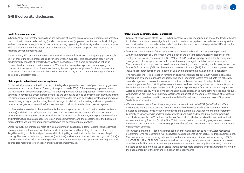### **South African operations**

In South Africa, our forestry landholdings are made up of planted areas (where our commercial activities occur), infrastructure (roads, buildings) and conservation areas (unplanted portions of our landholdings). In the conservation areas, our focus is on actively managing existing biodiversity and ecosystem services, while the planted and infrastructure areas are managed for production purposes, with measures to minimise environmental impacts.

Approximately 27% of our landholdings in South Africa are unplanted, with the majority (approximately 80% of these unplanted areas) set aside for conservation purposes. This conservation area network predominantly consists of grassland and wetland ecosystems, with a smaller proportion set aside for woodland and natural forest ecosystems. We adopt an ecosystem approach to managing our conservation area or ecological networks. Hence, the management objectives for these conservation areas are to maintain or enhance high conservation value areas, and to manage the integrity of other ecologically important areas.

### **Main impacts on biodiversity and ecosystems:**

For terrestrial ecosystems, the first impact is the legally approved conversion of predominantly grassland ecosystems into planted forests. The majority (approximately 80%) of the remaining unplanted areas are managed for conservation purposes. The ongoing threat is habitat degradation. The management activities to control this threat include controlling the extent and spread of invasive alien plants, balancing fire protection requirements with ecological requirements for fire, and controlling livestock to minimise or prevent overgrazing and/or trampling. Mondi manages its silviculture, harvesting and roads operations to reduce or mitigate erosion (soil loss) and sedimentation risks to its wetland and river ecosystems.

For freshwater ecosystems, the main threat is the hydrological impact of our forestry's water use (water quantity) and the impact of upstream land users and our own forestry operations' impact on water quality. Mondi's management activities include the delineation of plantations, managing commercial areas and infrastructure (such as roads) for erosion and sedimentation, and the assessment of the health of a representative set of rivers and priority wetlands in the conservation area network.

Other relatively minor impacts, most of which are primarily caused by external factors, include damagecausing animals, utilisation of non-timber products, cultivation and harvesting of non-forestry crops, illegal harvesting of plants and plant material (including illegal medicinal plant collection) and illegal hunting. The risks of pollution by chemicals (pesticides) and hydrocarbons (e.g. fuel and hydraulic fluids) is considered to be low. All cases are registered in our incident management system and investigated, and appropriate measures for correction and prevention implemented.

### **Mitigation and control measures, monitoring:**

- Control of Invasive alien plants (IAP) In South Africa, IAPs are recognised as one of the leading threats to biodiversity and can have a significant impact on wetland ecosystems, as well as on water quantity and quality when not controlled effectively. Mondi monitors and controls the spread of IAPs within the conservation area network of our landholdings.
- Design and management of the conservation area network Mondi has a long-term partnership with the Department of Conservation Entomology of the Stellenbosch University called the Mondi Ecological Networks Programme (MENP). Within MENP, we developed principles for the design and management of ecological networks (ENs) in intensively managed plantation forestry landscapes. This partnership also supports the development and testing of new monitoring methodologies, such as Dragonfly Biotic Index (DBI) and Terrestrial Assessment Protocol (TAP). Part of this engagement also includes a research focus on the impacts of ENs and management activities on soil biodiversity.
- Fire management Fire protection remains an ongoing challenge for our South African plantations, exacerbated by periodic drought conditions and socio-economic factors. We mitigate fire risks with naturally vegetated conservation areas, which act as fire-breaks between forestry plantations to help prevent large areas from catching fire. In recent years, we have made significant improvements to our fire-fighting fleet, including upgrading vehicles, improving safety specifications and increasing mobile water-carrying capacity. We also implement a risk-based approach to management of logging residues with improved pre- and post-burning assessments at harvesting sites to prevent spread of forest fires. Our approach was developed in cooperation with the Department of Forest and Wood Science of Stellenbosch University.
- Wetlands assessment Mondi has a long-term partnership with WWF SA (WWF-Mondi Water Stewardship Partnership, extended from the former WWF-Mondi Wetlands Programme), which developed principles for delineation of wetlands and a systematic wetlands monitoring programme. Currently, this monitoring is undertaken by a wetland ecologist and wetland bio-geomorphologist. This study follows the RAM method (Walters & Kotze, 2017), which is used as the standard wetland assessment tool by Mondi in South Africa. This improved wetland monitoring programme assesses the state of our wetlands at a finer scale (operational units), and uses the results to better direct future management activities.
- Freshwater monitoring Mondi has introduced an improved approach to its freshwater monitoring programme. One representative river ecosystem has been identified for each of its three business units. Monitoring, which involves using external freshwater specialists and biomonitoring, including SASS5, IHI, VEGRAI, MIRAI, FRAI, DBI, diatoms as well as measuring critical physical and chemical properties in each sample. Now in its 4th year, key parameters are measured quarterly. More recently, Mondi and partners began exploring the use of drone technology for more effective and streamlined monitoring of the habitat integrity of the river and its riparian zone ecosystems.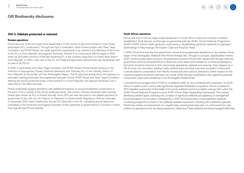### **304-3: Habitats protected or restored**

### **Russian operations**

Mondi was one of the first large forest leaseholders in the country to become involved in intact forest landscapes (IFL) conservation. Through the High Conservation Value Forests project with Silver Taiga Foundation and WWF Russia, we made significant investments in an inventory and definition of the cores of the IFLs in Komi Republic and adjacent territories. Mondi's IFLs conservation efforts began in 2006, when we excluded a territory of the last remaining IFL in the southern taiga from our forest lease area in Komi Republic. In 2019, in the core of this IFL, the Federal Koigorodsky National Park was established, with an area of 56,700 ha.

In 2009, in partnership with Silver Taiga Foundation and WWF Russia, Mondi started working on the inventory of Karpogorsky, Pyssky, Verkhne-Vashkinsky and Timansky IFLs in the Udorsky District of Komi Republic at the border with the Arkhangelsk Region. This 10-year partnership led to the signing of a precedent-setting landscape-level agreement between Mondi, WWF Russia and Silver Taiga Foundation, defining the strictly protected zones of the boreal IFLs in Komi Republic and adjacent territories over a total area of 1.25 million hectares.

Mondi undertakes logging operations with additional measures to ensure biodiversity conservation in the parts of IFLs outside of the strictly protected zones. We monitor volumes harvested within primary forests (also known as IFLs in Russia) annually. Since 2015, we have reported on the related payments to government in line with the UK's Report on Payments to Governments Regulations 2014 (as amended in December 2015), which implements the two EU Directives in the UK, mandating annual reports by companies in the extractive and logging industries of their payments to governments in countries in which they operate (see Mondi website).

### **South African operations**

Mondi was one of the first large private landowners in South Africa to become involved in wetland rehabilitation. Both directly, and through its partnership with the WWF-Mondi Wetlands Programme (WWF-MWP), Mondi made significant investments in rehabilitating significant wetlands on plantation landholdings in Mpumalanga, the Eastern Cape and KwaZulu-Natal.

In 2000, Mondi took over the then government owned and managed pine plantations on the western shores region of the iSimangaliso Wetlands Park World Heritage Site. Through its company, SiyaQhubeka Forestry (SQF), which includes black economic empowerment partners, Mondi-SQF worked with the park authority, government and environmental NGOs to determine which areas were suitable for commercial plantations, and which should be returned to their natural state (grasslands, wetlands and savanna). They mapped out a 120-km long "eco-boundary" dividing mostly wetland areas and other important ecosystem components, to be set aside for conservation, from the dry mineral soils best suited to plantations, where impacts on the natural ecosystems would be minimised. As a result, 9,000 hectares of plantations with significant potential conservation value were transferred to the iSimangaliso Wetland Park.

Currently Mondi manages about 15,000 ha of wetlands within its own and leased land properties. As South Africa is a water-scarce country with significantly degraded freshwater ecosystems, Mondi completed in 2011 a baseline assessment of the health of its priority wetlands and how to better manage them within the WWF-Mondi Wetlands Programme (now WWF-Mondi Water Stewardship Partnership). This involved identifying wetland types, assessing the condition of significant wetlands and agreeing on management recommendations for the future. Subsequently, in 2016, Mondi launched a more systematic wetlands monitoring programme to build on the wetlands baseline assessment. Working with a wetlands specialist, Mondi now carries out assessments on a regular basis, ensuring that every year, on a structured four-year rotation, its operational units are being assessed to determine if their wetlands are being managed effectively.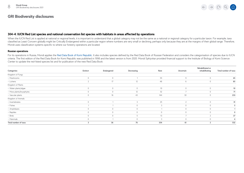

### **304-4: IUCN Red List species and national conservation list species with habitats in areas affected by operations**

When the IUCN Red List is applied at national or regional levels, it is important to understand that a global category may not be the same as a national or regional category for a particular taxon. For example, taxa classified as Least Concern globally might be Critically Endangered within a particular region where numbers are very small or declining, perhaps only because they are at the margins of their global range. Therefore, Mondi uses classification systems specific to where our forestry operations are located.

### **Russian operations**

For its operations in Russia, Mondi applies the [Red Data Book of Komi Republic](https://ib.komisc.ru/files/gbif/redbook2019/). It also includes species defined by the Red Data Book of Russian Federation and considers the categorisation of species due to IUCN criteria. The first edition of the Red Data Book for Komi Republic was published in 1998 and the latest version is from 2020. Mondi Syktyvkar provided financial support to the Institute of Biology of Komi Science Center to update the red-listed species list and for publication of the new Red Data Book.

|                          |              |              |              |         |              | Rehabilitated or |                      |
|--------------------------|--------------|--------------|--------------|---------|--------------|------------------|----------------------|
| <b>Categories:</b>       | Extinct      | Endangered   | Decreasing   | Rare    | Uncertain    | rehabilitating   | Total number of taxa |
| Kingdom of Fungi         |              |              |              |         |              |                  |                      |
| - Mushrooms              | $\theta$     | $\circ$      |              | 55      | 9            | $\circ$          | 65                   |
| - Lichens                | $\sim$       | 17           | 12           | 48      | b            | $\circ$          | 85                   |
| Kingdom of Plants        |              |              |              |         |              |                  |                      |
| - Water plants/algae     | $\mathbf{0}$ | $\circ$      | $\mathbf 0$  | 10      | $\mathbf 0$  | $\mathbf 0$      | 10                   |
| - Moss plants/bryophytes | $\cap$       | $\mathbf{0}$ | 12           | 52      |              | $\Omega$         | 71                   |
| - Vascular plants        | $\Omega$     | 16           | 43           | 144     | 30           | $\Omega$         | 233                  |
| Kingdom of Animals       |              |              |              |         |              |                  |                      |
| - Invertebrates          | $\circ$      |              | 3            | 25      | $\sim$<br>└  | $\circ$          | 31                   |
| - Fishes                 |              |              | $\mathbf 0$  | 3       | $\mathbf{0}$ | $\mathbf 0$      |                      |
| - Amphibians             |              | $\cap$       | $\mathbf 0$  |         | $\Omega$     | $\Omega$         |                      |
| - Reptiles               | $\cap$       | $\cap$       | $\mathbf{0}$ | $\circ$ | $\cap$       | $\cap$           |                      |
| - Birds                  |              |              |              | 13      |              |                  | 27                   |
| – Mammals                | $\Omega$     |              | $\mathbf 0$  | 3       | $\Omega$     | $\Omega$         |                      |
| Total number of taxa     | 3            | 36           | 76           | 354     | 61           | ຳ                | 532                  |